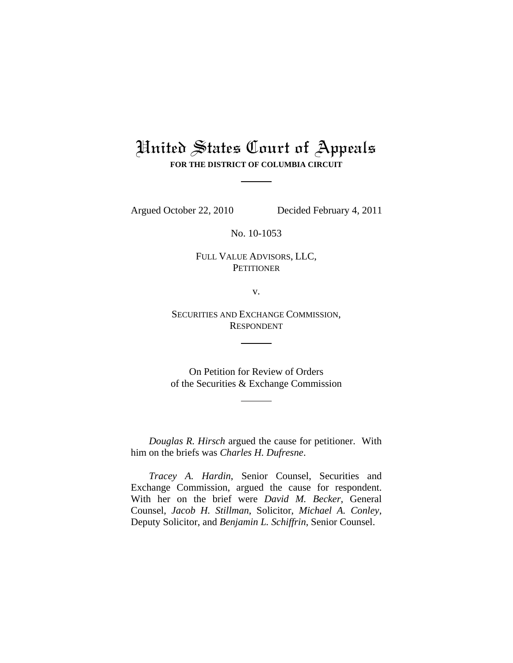# United States Court of Appeals **FOR THE DISTRICT OF COLUMBIA CIRCUIT**

Argued October 22, 2010 Decided February 4, 2011

No. 10-1053

FULL VALUE ADVISORS, LLC, **PETITIONER** 

v.

SECURITIES AND EXCHANGE COMMISSION, RESPONDENT

On Petition for Review of Orders of the Securities & Exchange Commission

 *Douglas R. Hirsch* argued the cause for petitioner. With him on the briefs was *Charles H. Dufresne*.

 *Tracey A. Hardin*, Senior Counsel, Securities and Exchange Commission, argued the cause for respondent. With her on the brief were *David M. Becker*, General Counsel, *Jacob H. Stillman*, Solicitor, *Michael A. Conley*, Deputy Solicitor, and *Benjamin L. Schiffrin*, Senior Counsel.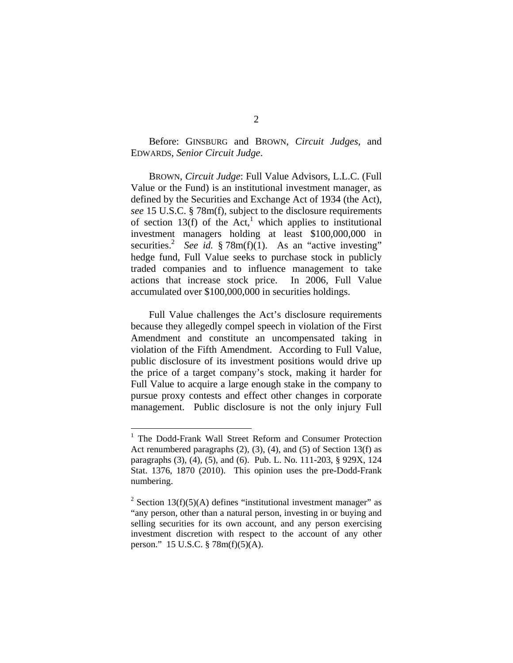Before: GINSBURG and BROWN, *Circuit Judges*, and EDWARDS, *Senior Circuit Judge*.

BROWN, *Circuit Judge*: Full Value Advisors, L.L.C. (Full Value or the Fund) is an institutional investment manager, as defined by the Securities and Exchange Act of 1934 (the Act), *see* 15 U.S.C. § 78m(f), subject to the disclosure requirements of section 13(f) of the Act,<sup>1</sup> which applies to institutional investment managers holding at least \$100,000,000 in securities.<sup>2</sup> See id. § 78m(f)(1). As an "active investing" hedge fund, Full Value seeks to purchase stock in publicly traded companies and to influence management to take actions that increase stock price. In 2006, Full Value accumulated over \$100,000,000 in securities holdings.

Full Value challenges the Act's disclosure requirements because they allegedly compel speech in violation of the First Amendment and constitute an uncompensated taking in violation of the Fifth Amendment. According to Full Value, public disclosure of its investment positions would drive up the price of a target company's stock, making it harder for Full Value to acquire a large enough stake in the company to pursue proxy contests and effect other changes in corporate management. Public disclosure is not the only injury Full

 $\overline{a}$ 

<sup>&</sup>lt;sup>1</sup> The Dodd-Frank Wall Street Reform and Consumer Protection Act renumbered paragraphs  $(2)$ ,  $(3)$ ,  $(4)$ , and  $(5)$  of Section 13(f) as paragraphs (3), (4), (5), and (6). Pub. L. No. 111-203, § 929X, 124 Stat. 1376, 1870 (2010). This opinion uses the pre-Dodd-Frank numbering.

<sup>&</sup>lt;sup>2</sup> Section 13(f)(5)(A) defines "institutional investment manager" as "any person, other than a natural person, investing in or buying and selling securities for its own account, and any person exercising investment discretion with respect to the account of any other person." 15 U.S.C. § 78m(f)(5)(A).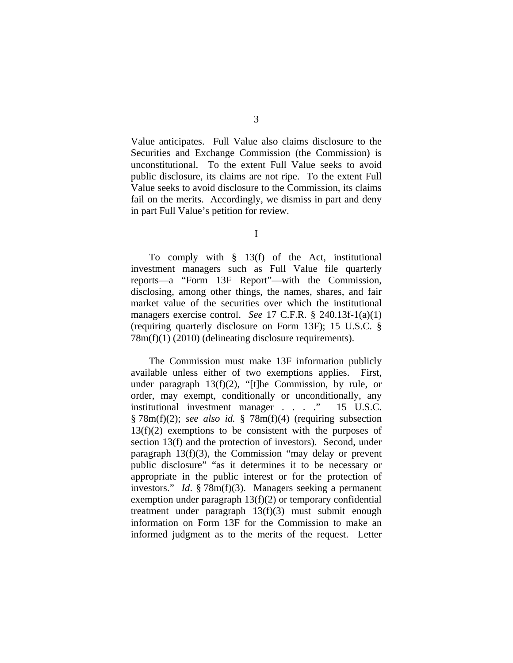Value anticipates. Full Value also claims disclosure to the Securities and Exchange Commission (the Commission) is unconstitutional. To the extent Full Value seeks to avoid public disclosure, its claims are not ripe. To the extent Full Value seeks to avoid disclosure to the Commission, its claims fail on the merits. Accordingly, we dismiss in part and deny in part Full Value's petition for review.

I

 To comply with § 13(f) of the Act, institutional investment managers such as Full Value file quarterly reports—a "Form 13F Report"—with the Commission, disclosing, among other things, the names, shares, and fair market value of the securities over which the institutional managers exercise control. *See* 17 C.F.R. § 240.13f-1(a)(1) (requiring quarterly disclosure on Form 13F); 15 U.S.C. § 78m(f)(1) (2010) (delineating disclosure requirements).

The Commission must make 13F information publicly available unless either of two exemptions applies. First, under paragraph 13(f)(2), "[t]he Commission, by rule, or order, may exempt, conditionally or unconditionally, any institutional investment manager . . . . " 15 U.S.C. § 78m(f)(2); *see also id.* § 78m(f)(4) (requiring subsection  $13(f)(2)$  exemptions to be consistent with the purposes of section 13(f) and the protection of investors). Second, under paragraph 13(f)(3), the Commission "may delay or prevent public disclosure" "as it determines it to be necessary or appropriate in the public interest or for the protection of investors." *Id*. § 78m(f)(3). Managers seeking a permanent exemption under paragraph 13(f)(2) or temporary confidential treatment under paragraph 13(f)(3) must submit enough information on Form 13F for the Commission to make an informed judgment as to the merits of the request. Letter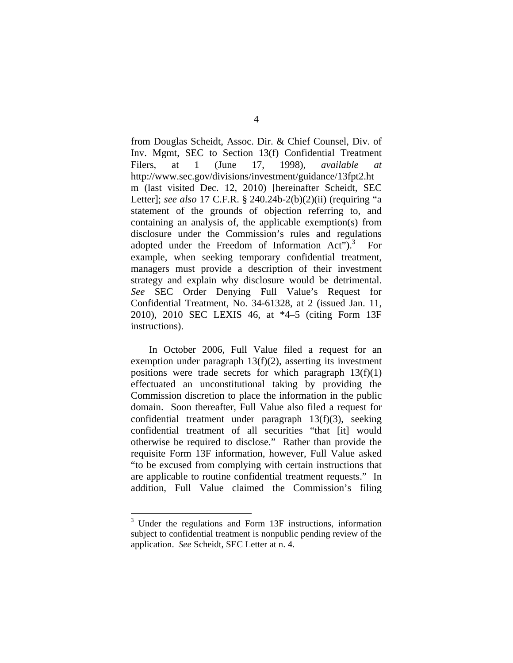from Douglas Scheidt, Assoc. Dir. & Chief Counsel, Div. of Inv. Mgmt, SEC to Section 13(f) Confidential Treatment Filers, at 1 (June 17, 1998), *available at*  http://www.sec.gov/divisions/investment/guidance/13fpt2.ht m (last visited Dec. 12, 2010) [hereinafter Scheidt, SEC Letter]; *see also* 17 C.F.R. § 240.24b-2(b)(2)(ii) (requiring "a statement of the grounds of objection referring to, and containing an analysis of, the applicable exemption(s) from disclosure under the Commission's rules and regulations adopted under the Freedom of Information  $Act^{\prime\prime}$ <sup>3</sup>. For example, when seeking temporary confidential treatment, managers must provide a description of their investment strategy and explain why disclosure would be detrimental. *See* SEC Order Denying Full Value's Request for Confidential Treatment, No. 34-61328, at 2 (issued Jan. 11, 2010), 2010 SEC LEXIS 46, at \*4–5 (citing Form 13F instructions).

In October 2006, Full Value filed a request for an exemption under paragraph 13(f)(2), asserting its investment positions were trade secrets for which paragraph  $13(f)(1)$ effectuated an unconstitutional taking by providing the Commission discretion to place the information in the public domain. Soon thereafter, Full Value also filed a request for confidential treatment under paragraph 13(f)(3), seeking confidential treatment of all securities "that [it] would otherwise be required to disclose." Rather than provide the requisite Form 13F information, however, Full Value asked "to be excused from complying with certain instructions that are applicable to routine confidential treatment requests." In addition, Full Value claimed the Commission's filing

 $\overline{a}$ 

<sup>&</sup>lt;sup>3</sup> Under the regulations and Form 13F instructions, information subject to confidential treatment is nonpublic pending review of the application. *See* Scheidt, SEC Letter at n. 4.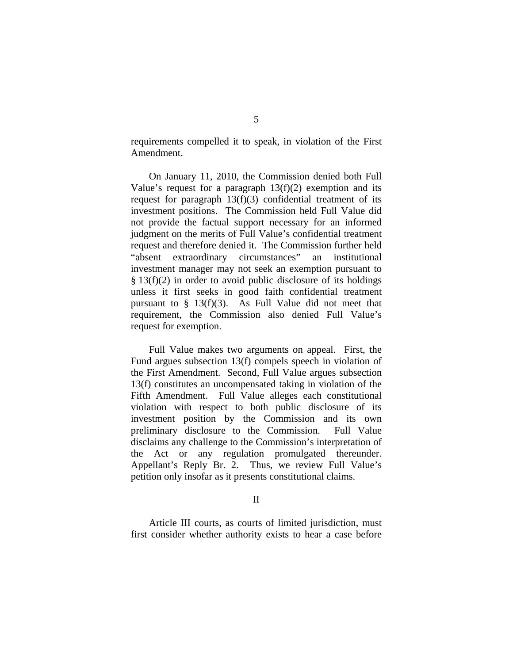requirements compelled it to speak, in violation of the First Amendment.

On January 11, 2010, the Commission denied both Full Value's request for a paragraph  $13(f)(2)$  exemption and its request for paragraph 13(f)(3) confidential treatment of its investment positions. The Commission held Full Value did not provide the factual support necessary for an informed judgment on the merits of Full Value's confidential treatment request and therefore denied it. The Commission further held "absent extraordinary circumstances" an institutional investment manager may not seek an exemption pursuant to  $§$  13(f)(2) in order to avoid public disclosure of its holdings unless it first seeks in good faith confidential treatment pursuant to  $\S$  13(f)(3). As Full Value did not meet that requirement, the Commission also denied Full Value's request for exemption.

Full Value makes two arguments on appeal. First, the Fund argues subsection 13(f) compels speech in violation of the First Amendment. Second, Full Value argues subsection 13(f) constitutes an uncompensated taking in violation of the Fifth Amendment. Full Value alleges each constitutional violation with respect to both public disclosure of its investment position by the Commission and its own preliminary disclosure to the Commission. Full Value disclaims any challenge to the Commission's interpretation of the Act or any regulation promulgated thereunder. Appellant's Reply Br. 2. Thus, we review Full Value's petition only insofar as it presents constitutional claims.

II

 Article III courts, as courts of limited jurisdiction, must first consider whether authority exists to hear a case before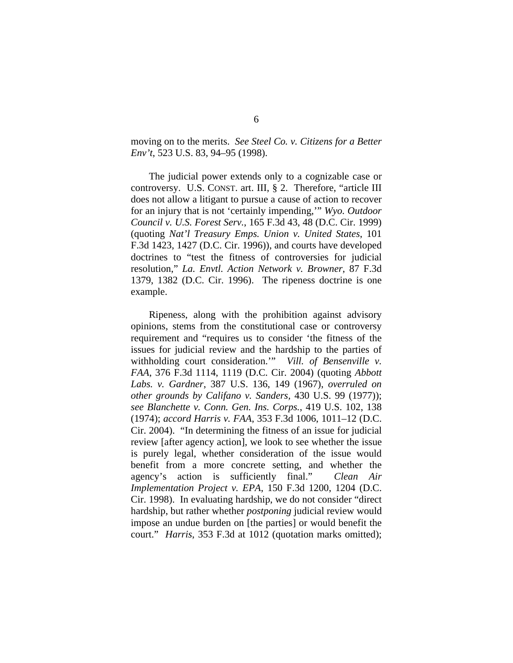moving on to the merits. *See Steel Co. v. Citizens for a Better Env't*, 523 U.S. 83, 94–95 (1998).

The judicial power extends only to a cognizable case or controversy. U.S. CONST. art. III, § 2. Therefore, "article III does not allow a litigant to pursue a cause of action to recover for an injury that is not 'certainly impending,'" *Wyo. Outdoor Council v. U.S. Forest Serv.*, 165 F.3d 43, 48 (D.C. Cir. 1999) (quoting *Nat'l Treasury Emps. Union v. United States*, 101 F.3d 1423, 1427 (D.C. Cir. 1996)), and courts have developed doctrines to "test the fitness of controversies for judicial resolution," *La. Envtl. Action Network v. Browner*, 87 F.3d 1379, 1382 (D.C. Cir. 1996). The ripeness doctrine is one example.

Ripeness, along with the prohibition against advisory opinions, stems from the constitutional case or controversy requirement and "requires us to consider 'the fitness of the issues for judicial review and the hardship to the parties of withholding court consideration.'" *Vill. of Bensenville v. FAA*, 376 F.3d 1114, 1119 (D.C. Cir. 2004) (quoting *Abbott Labs. v. Gardner*, 387 U.S. 136, 149 (1967), *overruled on other grounds by Califano v. Sanders,* 430 U.S. 99 (1977)); *see Blanchette v. Conn. Gen. Ins. Corps.*, 419 U.S. 102, 138 (1974); *accord Harris v. FAA*, 353 F.3d 1006, 1011–12 (D.C. Cir. 2004). "In determining the fitness of an issue for judicial review [after agency action], we look to see whether the issue is purely legal, whether consideration of the issue would benefit from a more concrete setting, and whether the agency's action is sufficiently final." *Clean Air Implementation Project v. EPA*, 150 F.3d 1200, 1204 (D.C. Cir. 1998). In evaluating hardship, we do not consider "direct hardship, but rather whether *postponing* judicial review would impose an undue burden on [the parties] or would benefit the court." *Harris*, 353 F.3d at 1012 (quotation marks omitted);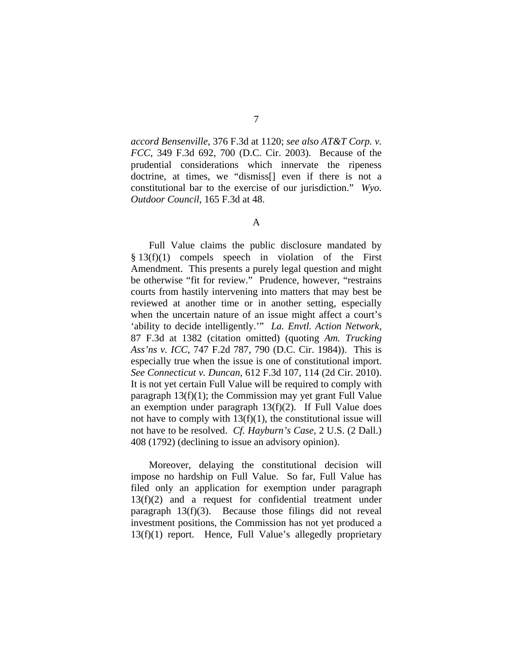*accord Bensenville*, 376 F.3d at 1120; *see also AT&T Corp. v. FCC*, 349 F.3d 692, 700 (D.C. Cir. 2003). Because of the prudential considerations which innervate the ripeness doctrine, at times, we "dismiss[] even if there is not a constitutional bar to the exercise of our jurisdiction." *Wyo. Outdoor Council*, 165 F.3d at 48.

## A

Full Value claims the public disclosure mandated by § 13(f)(1) compels speech in violation of the First Amendment. This presents a purely legal question and might be otherwise "fit for review." Prudence, however, "restrains courts from hastily intervening into matters that may best be reviewed at another time or in another setting, especially when the uncertain nature of an issue might affect a court's 'ability to decide intelligently.'" *La. Envtl. Action Network*, 87 F.3d at 1382 (citation omitted) (quoting *Am. Trucking Ass'ns v. ICC*, 747 F.2d 787, 790 (D.C. Cir. 1984)). This is especially true when the issue is one of constitutional import. *See Connecticut v. Duncan*, 612 F.3d 107, 114 (2d Cir. 2010). It is not yet certain Full Value will be required to comply with paragraph  $13(f)(1)$ ; the Commission may yet grant Full Value an exemption under paragraph 13(f)(2). If Full Value does not have to comply with  $13(f)(1)$ , the constitutional issue will not have to be resolved. *Cf. Hayburn's Case,* 2 U.S. (2 Dall.) 408 (1792) (declining to issue an advisory opinion).

Moreover, delaying the constitutional decision will impose no hardship on Full Value. So far, Full Value has filed only an application for exemption under paragraph 13(f)(2) and a request for confidential treatment under paragraph 13(f)(3). Because those filings did not reveal investment positions, the Commission has not yet produced a 13(f)(1) report. Hence, Full Value's allegedly proprietary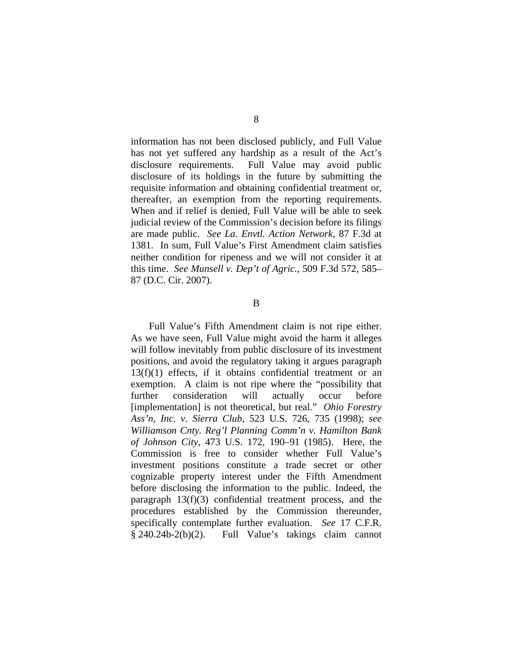information has not been disclosed publicly, and Full Value has not yet suffered any hardship as a result of the Act's disclosure requirements. Full Value may avoid public disclosure of its holdings in the future by submitting the requisite information and obtaining confidential treatment or, thereafter, an exemption from the reporting requirements. When and if relief is denied, Full Value will be able to seek judicial review of the Commission's decision before its filings are made public. *See La. Envtl. Action Network*, 87 F.3d at 1381. In sum, Full Value's First Amendment claim satisfies neither condition for ripeness and we will not consider it at this time. *See Munsell v. Dep't of Agric.*, 509 F.3d 572, 585– 87 (D.C. Cir. 2007).

B

 Full Value's Fifth Amendment claim is not ripe either. As we have seen, Full Value might avoid the harm it alleges will follow inevitably from public disclosure of its investment positions, and avoid the regulatory taking it argues paragraph 13(f)(1) effects, if it obtains confidential treatment or an exemption. A claim is not ripe where the "possibility that further consideration will actually occur before [implementation] is not theoretical, but real." *Ohio Forestry Ass'n, Inc. v. Sierra Club*, 523 U.S. 726, 735 (1998); *see Williamson Cnty. Reg'l Planning Comm'n v. Hamilton Bank of Johnson City*, 473 U.S. 172, 190–91 (1985). Here, the Commission is free to consider whether Full Value's investment positions constitute a trade secret or other cognizable property interest under the Fifth Amendment before disclosing the information to the public. Indeed, the paragraph 13(f)(3) confidential treatment process, and the procedures established by the Commission thereunder, specifically contemplate further evaluation. *See* 17 C.F.R. § 240.24b-2(b)(2). Full Value's takings claim cannot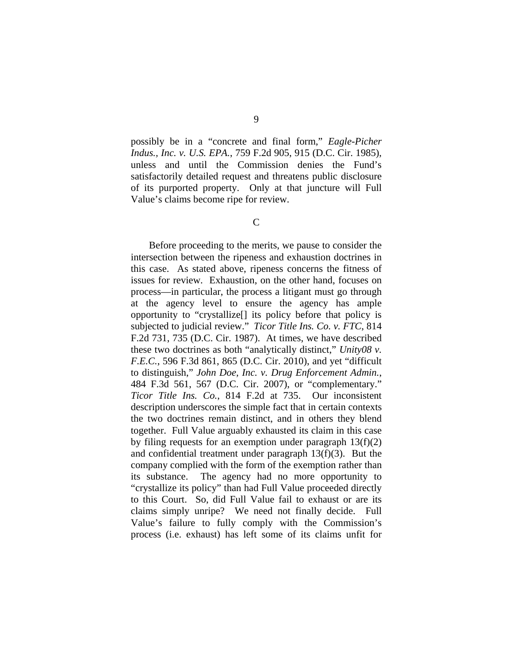possibly be in a "concrete and final form," *Eagle-Picher Indus., Inc. v. U.S. EPA.*, 759 F.2d 905, 915 (D.C. Cir. 1985), unless and until the Commission denies the Fund's satisfactorily detailed request and threatens public disclosure of its purported property. Only at that juncture will Full Value's claims become ripe for review.

C

Before proceeding to the merits, we pause to consider the intersection between the ripeness and exhaustion doctrines in this case. As stated above, ripeness concerns the fitness of issues for review. Exhaustion, on the other hand, focuses on process—in particular, the process a litigant must go through at the agency level to ensure the agency has ample opportunity to "crystallize[] its policy before that policy is subjected to judicial review." *Ticor Title Ins. Co. v. FTC*, 814 F.2d 731, 735 (D.C. Cir. 1987). At times, we have described these two doctrines as both "analytically distinct," *Unity08 v. F.E.C.*, 596 F.3d 861, 865 (D.C. Cir. 2010), and yet "difficult to distinguish," *John Doe, Inc. v. Drug Enforcement Admin.*, 484 F.3d 561, 567 (D.C. Cir. 2007), or "complementary." *Ticor Title Ins. Co.*, 814 F.2d at 735. Our inconsistent description underscores the simple fact that in certain contexts the two doctrines remain distinct, and in others they blend together. Full Value arguably exhausted its claim in this case by filing requests for an exemption under paragraph  $13(f)(2)$ and confidential treatment under paragraph 13(f)(3). But the company complied with the form of the exemption rather than its substance. The agency had no more opportunity to "crystallize its policy" than had Full Value proceeded directly to this Court. So, did Full Value fail to exhaust or are its claims simply unripe? We need not finally decide. Full Value's failure to fully comply with the Commission's process (i.e. exhaust) has left some of its claims unfit for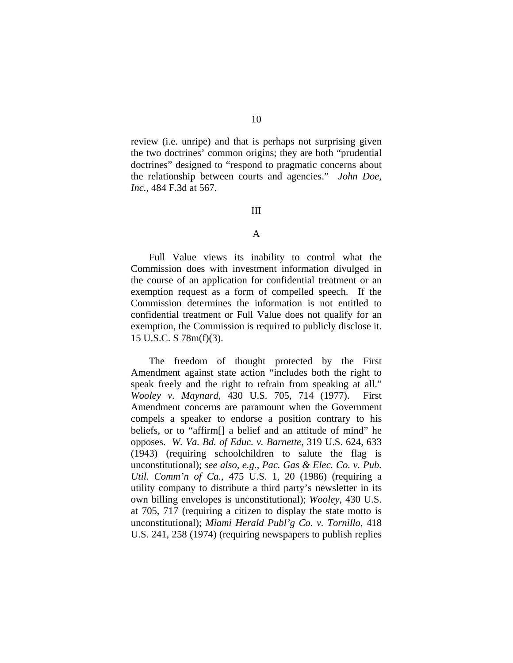review (i.e. unripe) and that is perhaps not surprising given the two doctrines' common origins; they are both "prudential doctrines" designed to "respond to pragmatic concerns about the relationship between courts and agencies." *John Doe, Inc.*, 484 F.3d at 567.

### III

## A

 Full Value views its inability to control what the Commission does with investment information divulged in the course of an application for confidential treatment or an exemption request as a form of compelled speech. If the Commission determines the information is not entitled to confidential treatment or Full Value does not qualify for an exemption, the Commission is required to publicly disclose it. 15 U.S.C. S 78m(f)(3).

The freedom of thought protected by the First Amendment against state action "includes both the right to speak freely and the right to refrain from speaking at all." *Wooley v. Maynard*, 430 U.S. 705, 714 (1977). First Amendment concerns are paramount when the Government compels a speaker to endorse a position contrary to his beliefs, or to "affirm[] a belief and an attitude of mind" he opposes. *W. Va. Bd. of Educ. v. Barnette*, 319 U.S. 624, 633 (1943) (requiring schoolchildren to salute the flag is unconstitutional); *see also, e.g*., *Pac. Gas & Elec. Co. v. Pub. Util. Comm'n of Ca.*, 475 U.S. 1, 20 (1986) (requiring a utility company to distribute a third party's newsletter in its own billing envelopes is unconstitutional); *Wooley*, 430 U.S. at 705, 717 (requiring a citizen to display the state motto is unconstitutional); *Miami Herald Publ'g Co. v. Tornillo*, 418 U.S. 241, 258 (1974) (requiring newspapers to publish replies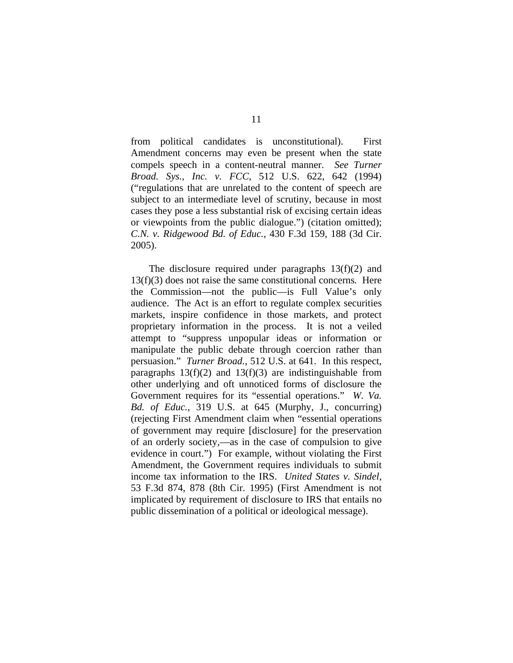from political candidates is unconstitutional). First Amendment concerns may even be present when the state compels speech in a content-neutral manner. *See Turner Broad. Sys., Inc. v. FCC*, 512 U.S. 622, 642 (1994) ("regulations that are unrelated to the content of speech are subject to an intermediate level of scrutiny, because in most cases they pose a less substantial risk of excising certain ideas or viewpoints from the public dialogue.") (citation omitted); *C.N. v. Ridgewood Bd. of Educ.*, 430 F.3d 159, 188 (3d Cir. 2005).

The disclosure required under paragraphs 13(f)(2) and 13(f)(3) does not raise the same constitutional concerns*.* Here the Commission—not the public—is Full Value's only audience. The Act is an effort to regulate complex securities markets, inspire confidence in those markets, and protect proprietary information in the process. It is not a veiled attempt to "suppress unpopular ideas or information or manipulate the public debate through coercion rather than persuasion." *Turner Broad.*, 512 U.S. at 641. In this respect, paragraphs  $13(f)(2)$  and  $13(f)(3)$  are indistinguishable from other underlying and oft unnoticed forms of disclosure the Government requires for its "essential operations." *W. Va. Bd. of Educ.*, 319 U.S. at 645 (Murphy, J., concurring) (rejecting First Amendment claim when "essential operations of government may require [disclosure] for the preservation of an orderly society,—as in the case of compulsion to give evidence in court.") For example, without violating the First Amendment, the Government requires individuals to submit income tax information to the IRS. *United States v. Sindel*, 53 F.3d 874, 878 (8th Cir. 1995) (First Amendment is not implicated by requirement of disclosure to IRS that entails no public dissemination of a political or ideological message).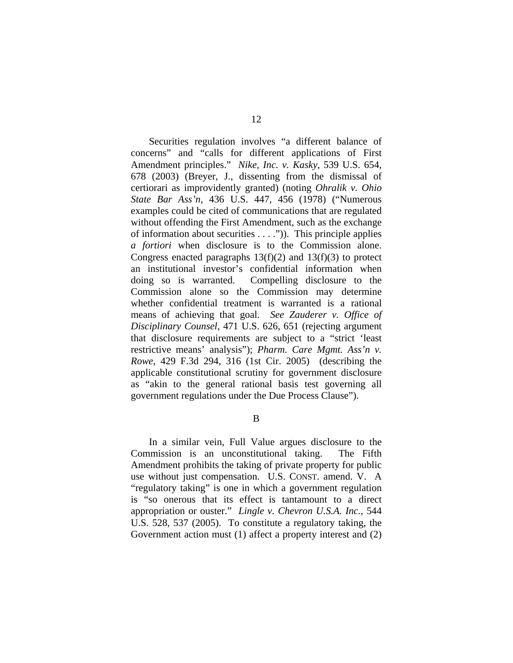Securities regulation involves "a different balance of concerns" and "calls for different applications of First Amendment principles." *Nike, Inc. v. Kasky*, 539 U.S. 654, 678 (2003) (Breyer, J., dissenting from the dismissal of certiorari as improvidently granted) (noting *Ohralik v. Ohio State Bar Ass'n*, 436 U.S. 447, 456 (1978) ("Numerous examples could be cited of communications that are regulated without offending the First Amendment, such as the exchange of information about securities . . . .")). This principle applies *a fortiori* when disclosure is to the Commission alone. Congress enacted paragraphs  $13(f)(2)$  and  $13(f)(3)$  to protect an institutional investor's confidential information when doing so is warranted. Compelling disclosure to the Commission alone so the Commission may determine whether confidential treatment is warranted is a rational means of achieving that goal. *See Zauderer v. Office of Disciplinary Counsel*, 471 U.S. 626, 651 (rejecting argument that disclosure requirements are subject to a "strict 'least restrictive means' analysis"); *Pharm. Care Mgmt. Ass'n v. Rowe*, 429 F.3d 294, 316 (1st Cir. 2005) (describing the applicable constitutional scrutiny for government disclosure as "akin to the general rational basis test governing all government regulations under the Due Process Clause").

B

 In a similar vein, Full Value argues disclosure to the Commission is an unconstitutional taking. The Fifth Amendment prohibits the taking of private property for public use without just compensation. U.S. CONST. amend. V. A "regulatory taking" is one in which a government regulation is "so onerous that its effect is tantamount to a direct appropriation or ouster." *Lingle v. Chevron U.S.A. Inc.*, 544 U.S. 528, 537 (2005). To constitute a regulatory taking, the Government action must (1) affect a property interest and (2)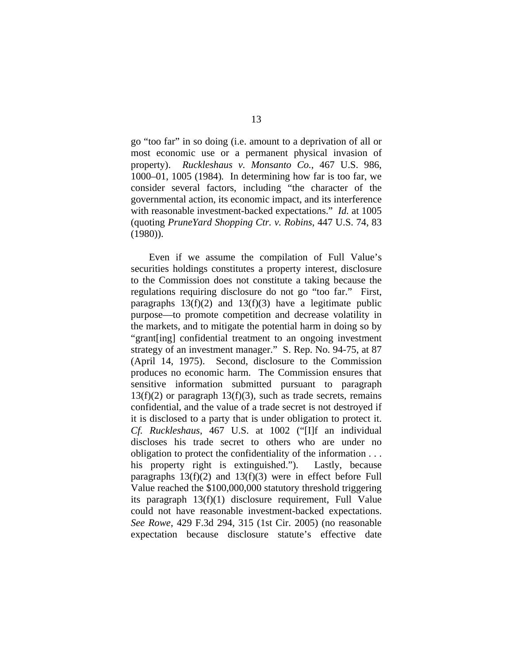go "too far" in so doing (i.e. amount to a deprivation of all or most economic use or a permanent physical invasion of property). *Ruckleshaus v. Monsanto Co.*, 467 U.S. 986, 1000–01, 1005 (1984)*.* In determining how far is too far, we consider several factors, including "the character of the governmental action, its economic impact, and its interference with reasonable investment-backed expectations." *Id.* at 1005 (quoting *PruneYard Shopping Ctr. v. Robins*, 447 U.S. 74, 83 (1980)).

Even if we assume the compilation of Full Value's securities holdings constitutes a property interest, disclosure to the Commission does not constitute a taking because the regulations requiring disclosure do not go "too far." First, paragraphs  $13(f)(2)$  and  $13(f)(3)$  have a legitimate public purpose—to promote competition and decrease volatility in the markets, and to mitigate the potential harm in doing so by "grant[ing] confidential treatment to an ongoing investment strategy of an investment manager." S. Rep. No. 94-75, at 87 (April 14, 1975). Second, disclosure to the Commission produces no economic harm. The Commission ensures that sensitive information submitted pursuant to paragraph  $13(f)(2)$  or paragraph  $13(f)(3)$ , such as trade secrets, remains confidential, and the value of a trade secret is not destroyed if it is disclosed to a party that is under obligation to protect it. *Cf. Ruckleshaus*, 467 U.S. at 1002 ("[I]f an individual discloses his trade secret to others who are under no obligation to protect the confidentiality of the information . . . his property right is extinguished."). Lastly, because paragraphs  $13(f)(2)$  and  $13(f)(3)$  were in effect before Full Value reached the \$100,000,000 statutory threshold triggering its paragraph 13(f)(1) disclosure requirement, Full Value could not have reasonable investment-backed expectations. *See Rowe*, 429 F.3d 294, 315 (1st Cir. 2005) (no reasonable expectation because disclosure statute's effective date